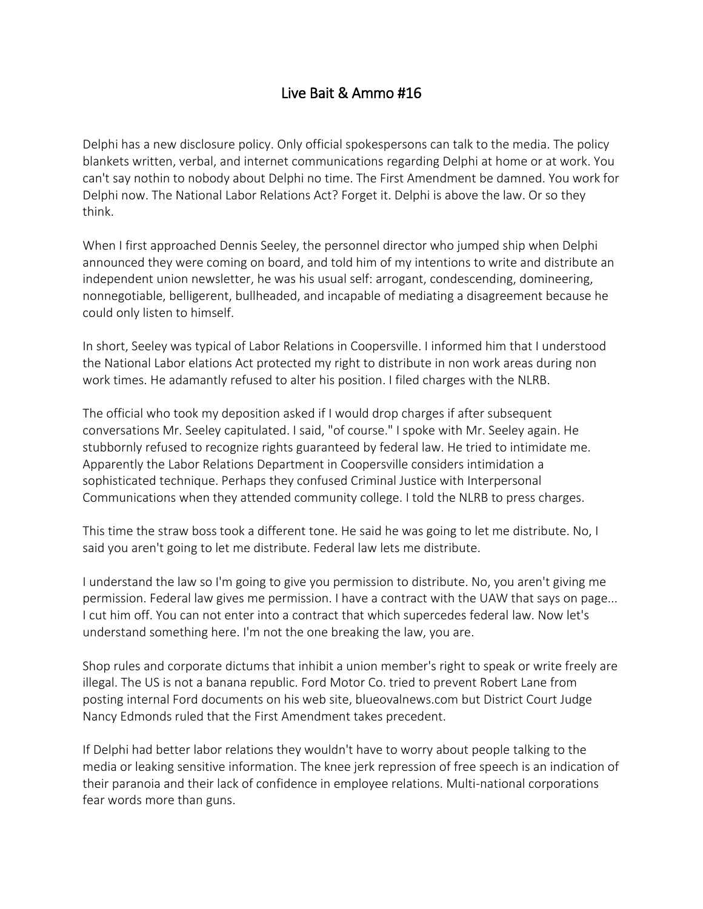## Live Bait & Ammo #16

Delphi has a new disclosure policy. Only official spokespersons can talk to the media. The policy blankets written, verbal, and internet communications regarding Delphi at home or at work. You can't say nothin to nobody about Delphi no time. The First Amendment be damned. You work for Delphi now. The National Labor Relations Act? Forget it. Delphi is above the law. Or so they think.

When I first approached Dennis Seeley, the personnel director who jumped ship when Delphi announced they were coming on board, and told him of my intentions to write and distribute an independent union newsletter, he was his usual self: arrogant, condescending, domineering, nonnegotiable, belligerent, bullheaded, and incapable of mediating a disagreement because he could only listen to himself.

In short, Seeley was typical of Labor Relations in Coopersville. I informed him that I understood the National Labor elations Act protected my right to distribute in non work areas during non work times. He adamantly refused to alter his position. I filed charges with the NLRB.

The official who took my deposition asked if I would drop charges if after subsequent conversations Mr. Seeley capitulated. I said, "of course." I spoke with Mr. Seeley again. He stubbornly refused to recognize rights guaranteed by federal law. He tried to intimidate me. Apparently the Labor Relations Department in Coopersville considers intimidation a sophisticated technique. Perhaps they confused Criminal Justice with Interpersonal Communications when they attended community college. I told the NLRB to press charges.

This time the straw boss took a different tone. He said he was going to let me distribute. No, I said you aren't going to let me distribute. Federal law lets me distribute.

I understand the law so I'm going to give you permission to distribute. No, you aren't giving me permission. Federal law gives me permission. I have a contract with the UAW that says on page... I cut him off. You can not enter into a contract that which supercedes federal law. Now let's understand something here. I'm not the one breaking the law, you are.

Shop rules and corporate dictums that inhibit a union member's right to speak or write freely are illegal. The US is not a banana republic. Ford Motor Co. tried to prevent Robert Lane from posting internal Ford documents on his web site, blueovalnews.com but District Court Judge Nancy Edmonds ruled that the First Amendment takes precedent.

If Delphi had better labor relations they wouldn't have to worry about people talking to the media or leaking sensitive information. The knee jerk repression of free speech is an indication of their paranoia and their lack of confidence in employee relations. Multi-national corporations fear words more than guns.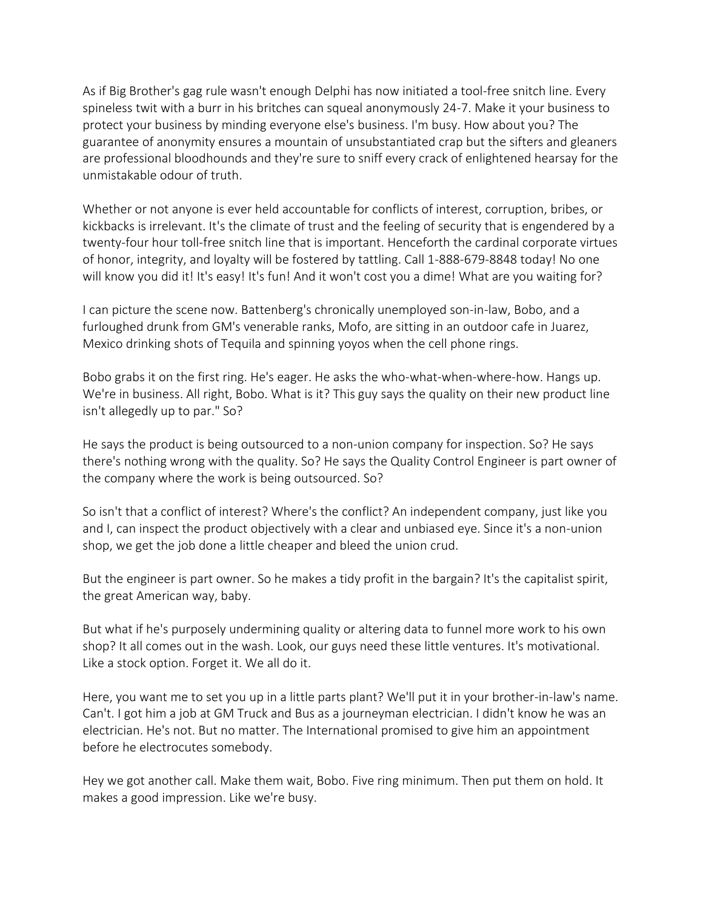As if Big Brother's gag rule wasn't enough Delphi has now initiated a tool-free snitch line. Every spineless twit with a burr in his britches can squeal anonymously 24-7. Make it your business to protect your business by minding everyone else's business. I'm busy. How about you? The guarantee of anonymity ensures a mountain of unsubstantiated crap but the sifters and gleaners are professional bloodhounds and they're sure to sniff every crack of enlightened hearsay for the unmistakable odour of truth.

Whether or not anyone is ever held accountable for conflicts of interest, corruption, bribes, or kickbacks is irrelevant. It's the climate of trust and the feeling of security that is engendered by a twenty-four hour toll-free snitch line that is important. Henceforth the cardinal corporate virtues of honor, integrity, and loyalty will be fostered by tattling. Call 1-888-679-8848 today! No one will know you did it! It's easy! It's fun! And it won't cost you a dime! What are you waiting for?

I can picture the scene now. Battenberg's chronically unemployed son-in-law, Bobo, and a furloughed drunk from GM's venerable ranks, Mofo, are sitting in an outdoor cafe in Juarez, Mexico drinking shots of Tequila and spinning yoyos when the cell phone rings.

Bobo grabs it on the first ring. He's eager. He asks the who-what-when-where-how. Hangs up. We're in business. All right, Bobo. What is it? This guy says the quality on their new product line isn't allegedly up to par." So?

He says the product is being outsourced to a non-union company for inspection. So? He says there's nothing wrong with the quality. So? He says the Quality Control Engineer is part owner of the company where the work is being outsourced. So?

So isn't that a conflict of interest? Where's the conflict? An independent company, just like you and I, can inspect the product objectively with a clear and unbiased eye. Since it's a non-union shop, we get the job done a little cheaper and bleed the union crud.

But the engineer is part owner. So he makes a tidy profit in the bargain? It's the capitalist spirit, the great American way, baby.

But what if he's purposely undermining quality or altering data to funnel more work to his own shop? It all comes out in the wash. Look, our guys need these little ventures. It's motivational. Like a stock option. Forget it. We all do it.

Here, you want me to set you up in a little parts plant? We'll put it in your brother-in-law's name. Can't. I got him a job at GM Truck and Bus as a journeyman electrician. I didn't know he was an electrician. He's not. But no matter. The International promised to give him an appointment before he electrocutes somebody.

Hey we got another call. Make them wait, Bobo. Five ring minimum. Then put them on hold. It makes a good impression. Like we're busy.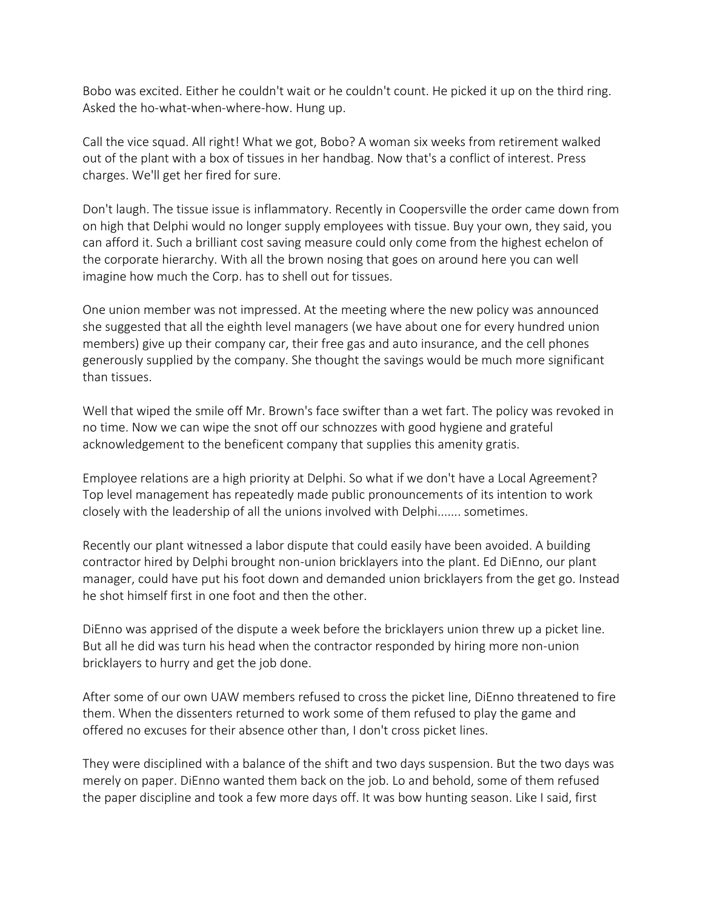Bobo was excited. Either he couldn't wait or he couldn't count. He picked it up on the third ring. Asked the ho-what-when-where-how. Hung up.

Call the vice squad. All right! What we got, Bobo? A woman six weeks from retirement walked out of the plant with a box of tissues in her handbag. Now that's a conflict of interest. Press charges. We'll get her fired for sure.

Don't laugh. The tissue issue is inflammatory. Recently in Coopersville the order came down from on high that Delphi would no longer supply employees with tissue. Buy your own, they said, you can afford it. Such a brilliant cost saving measure could only come from the highest echelon of the corporate hierarchy. With all the brown nosing that goes on around here you can well imagine how much the Corp. has to shell out for tissues.

One union member was not impressed. At the meeting where the new policy was announced she suggested that all the eighth level managers (we have about one for every hundred union members) give up their company car, their free gas and auto insurance, and the cell phones generously supplied by the company. She thought the savings would be much more significant than tissues.

Well that wiped the smile off Mr. Brown's face swifter than a wet fart. The policy was revoked in no time. Now we can wipe the snot off our schnozzes with good hygiene and grateful acknowledgement to the beneficent company that supplies this amenity gratis.

Employee relations are a high priority at Delphi. So what if we don't have a Local Agreement? Top level management has repeatedly made public pronouncements of its intention to work closely with the leadership of all the unions involved with Delphi....... sometimes.

Recently our plant witnessed a labor dispute that could easily have been avoided. A building contractor hired by Delphi brought non-union bricklayers into the plant. Ed DiEnno, our plant manager, could have put his foot down and demanded union bricklayers from the get go. Instead he shot himself first in one foot and then the other.

DiEnno was apprised of the dispute a week before the bricklayers union threw up a picket line. But all he did was turn his head when the contractor responded by hiring more non-union bricklayers to hurry and get the job done.

After some of our own UAW members refused to cross the picket line, DiEnno threatened to fire them. When the dissenters returned to work some of them refused to play the game and offered no excuses for their absence other than, I don't cross picket lines.

They were disciplined with a balance of the shift and two days suspension. But the two days was merely on paper. DiEnno wanted them back on the job. Lo and behold, some of them refused the paper discipline and took a few more days off. It was bow hunting season. Like I said, first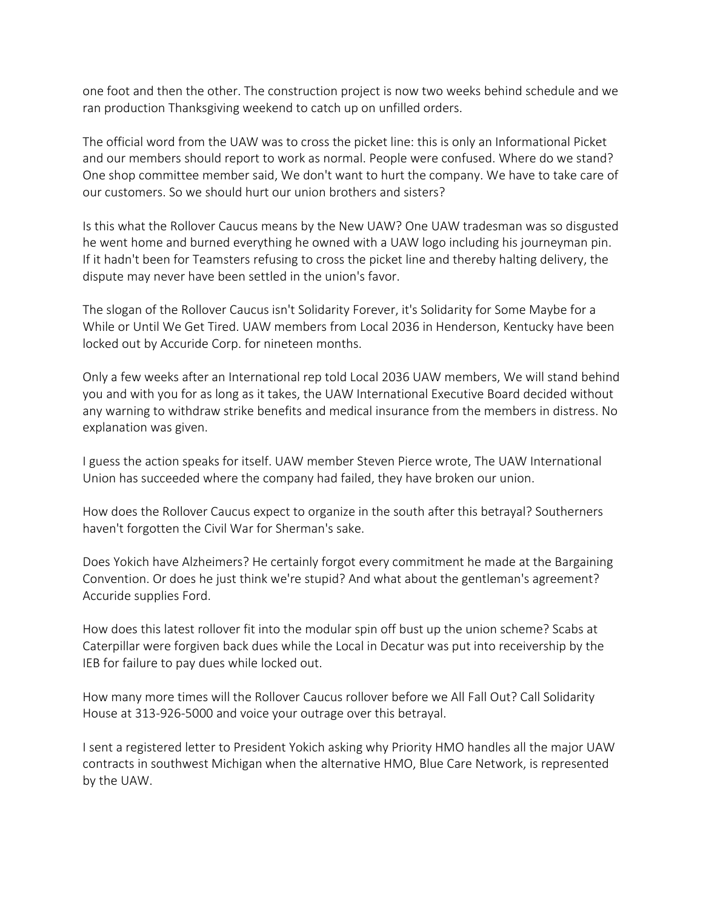one foot and then the other. The construction project is now two weeks behind schedule and we ran production Thanksgiving weekend to catch up on unfilled orders.

The official word from the UAW was to cross the picket line: this is only an Informational Picket and our members should report to work as normal. People were confused. Where do we stand? One shop committee member said, We don't want to hurt the company. We have to take care of our customers. So we should hurt our union brothers and sisters?

Is this what the Rollover Caucus means by the New UAW? One UAW tradesman was so disgusted he went home and burned everything he owned with a UAW logo including his journeyman pin. If it hadn't been for Teamsters refusing to cross the picket line and thereby halting delivery, the dispute may never have been settled in the union's favor.

The slogan of the Rollover Caucus isn't Solidarity Forever, it's Solidarity for Some Maybe for a While or Until We Get Tired. UAW members from Local 2036 in Henderson, Kentucky have been locked out by Accuride Corp. for nineteen months.

Only a few weeks after an International rep told Local 2036 UAW members, We will stand behind you and with you for as long as it takes, the UAW International Executive Board decided without any warning to withdraw strike benefits and medical insurance from the members in distress. No explanation was given.

I guess the action speaks for itself. UAW member Steven Pierce wrote, The UAW International Union has succeeded where the company had failed, they have broken our union.

How does the Rollover Caucus expect to organize in the south after this betrayal? Southerners haven't forgotten the Civil War for Sherman's sake.

Does Yokich have Alzheimers? He certainly forgot every commitment he made at the Bargaining Convention. Or does he just think we're stupid? And what about the gentleman's agreement? Accuride supplies Ford.

How does this latest rollover fit into the modular spin off bust up the union scheme? Scabs at Caterpillar were forgiven back dues while the Local in Decatur was put into receivership by the IEB for failure to pay dues while locked out.

How many more times will the Rollover Caucus rollover before we All Fall Out? Call Solidarity House at 313-926-5000 and voice your outrage over this betrayal.

I sent a registered letter to President Yokich asking why Priority HMO handles all the major UAW contracts in southwest Michigan when the alternative HMO, Blue Care Network, is represented by the UAW.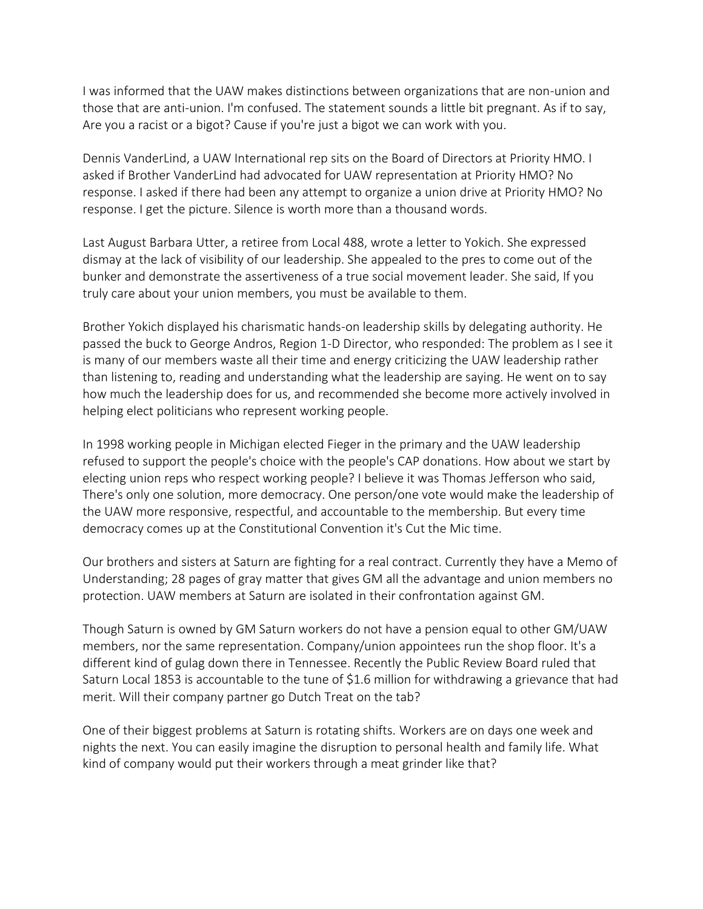I was informed that the UAW makes distinctions between organizations that are non-union and those that are anti-union. I'm confused. The statement sounds a little bit pregnant. As if to say, Are you a racist or a bigot? Cause if you're just a bigot we can work with you.

Dennis VanderLind, a UAW International rep sits on the Board of Directors at Priority HMO. I asked if Brother VanderLind had advocated for UAW representation at Priority HMO? No response. I asked if there had been any attempt to organize a union drive at Priority HMO? No response. I get the picture. Silence is worth more than a thousand words.

Last August Barbara Utter, a retiree from Local 488, wrote a letter to Yokich. She expressed dismay at the lack of visibility of our leadership. She appealed to the pres to come out of the bunker and demonstrate the assertiveness of a true social movement leader. She said, If you truly care about your union members, you must be available to them.

Brother Yokich displayed his charismatic hands-on leadership skills by delegating authority. He passed the buck to George Andros, Region 1-D Director, who responded: The problem as I see it is many of our members waste all their time and energy criticizing the UAW leadership rather than listening to, reading and understanding what the leadership are saying. He went on to say how much the leadership does for us, and recommended she become more actively involved in helping elect politicians who represent working people.

In 1998 working people in Michigan elected Fieger in the primary and the UAW leadership refused to support the people's choice with the people's CAP donations. How about we start by electing union reps who respect working people? I believe it was Thomas Jefferson who said, There's only one solution, more democracy. One person/one vote would make the leadership of the UAW more responsive, respectful, and accountable to the membership. But every time democracy comes up at the Constitutional Convention it's Cut the Mic time.

Our brothers and sisters at Saturn are fighting for a real contract. Currently they have a Memo of Understanding; 28 pages of gray matter that gives GM all the advantage and union members no protection. UAW members at Saturn are isolated in their confrontation against GM.

Though Saturn is owned by GM Saturn workers do not have a pension equal to other GM/UAW members, nor the same representation. Company/union appointees run the shop floor. It's a different kind of gulag down there in Tennessee. Recently the Public Review Board ruled that Saturn Local 1853 is accountable to the tune of \$1.6 million for withdrawing a grievance that had merit. Will their company partner go Dutch Treat on the tab?

One of their biggest problems at Saturn is rotating shifts. Workers are on days one week and nights the next. You can easily imagine the disruption to personal health and family life. What kind of company would put their workers through a meat grinder like that?